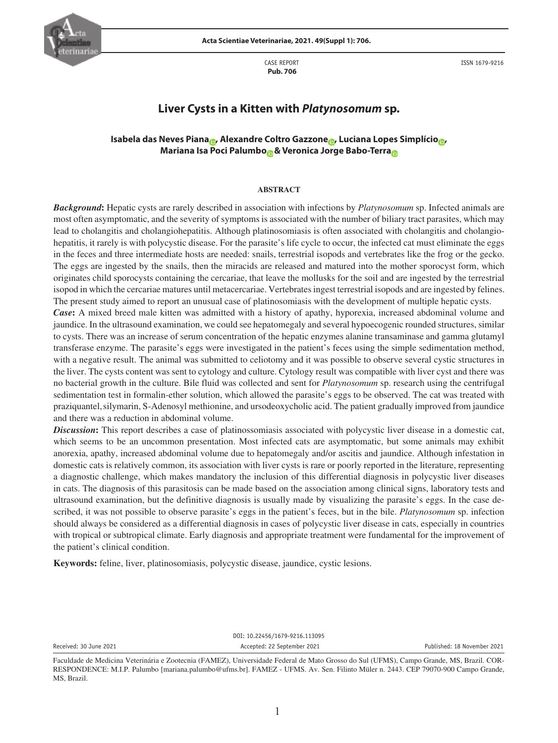

CASE REPORT  **Pub. 706**

ISSN 1679-9216

# **Liver Cysts in a Kitten with** *Platynosomum* **sp.**

# **Isabela das Neves Pian[a](https://orcid.org/0000-0002-6209-7392) , Alexandre Coltro Gazzon[e](https://orcid.org/0000-0003-2363-0067) , Luciana Lopes Simplício [,](https://orcid.org/0000-0003-4748-5271) Mariana Isa Poci Palumb[o](https://orcid.org/0000-0002-0919-5057) & Veronica Jorge Babo-Terr[a](https://orcid.org/0000-0002-7794-5163)**

# **ABSTRACT**

*Background***:** Hepatic cysts are rarely described in association with infections by *Platynosomum* sp. Infected animals are most often asymptomatic, and the severity of symptoms is associated with the number of biliary tract parasites, which may lead to cholangitis and cholangiohepatitis. Although platinosomiasis is often associated with cholangitis and cholangiohepatitis, it rarely is with polycystic disease. For the parasite's life cycle to occur, the infected cat must eliminate the eggs in the feces and three intermediate hosts are needed: snails, terrestrial isopods and vertebrates like the frog or the gecko. The eggs are ingested by the snails, then the miracids are released and matured into the mother sporocyst form, which originates child sporocysts containing the cercariae, that leave the mollusks for the soil and are ingested by the terrestrial isopod in which the cercariae matures until metacercariae. Vertebrates ingest terrestrial isopods and are ingested by felines. The present study aimed to report an unusual case of platinosomiasis with the development of multiple hepatic cysts.

*Case***:** A mixed breed male kitten was admitted with a history of apathy, hyporexia, increased abdominal volume and jaundice. In the ultrasound examination, we could see hepatomegaly and several hypoecogenic rounded structures, similar to cysts. There was an increase of serum concentration of the hepatic enzymes alanine transaminase and gamma glutamyl transferase enzyme. The parasite's eggs were investigated in the patient's feces using the simple sedimentation method, with a negative result. The animal was submitted to celiotomy and it was possible to observe several cystic structures in the liver. The cysts content was sent to cytology and culture. Cytology result was compatible with liver cyst and there was no bacterial growth in the culture. Bile fluid was collected and sent for *Platynosomum* sp. research using the centrifugal sedimentation test in formalin-ether solution, which allowed the parasite's eggs to be observed. The cat was treated with praziquantel,silymarin, S-Adenosyl methionine, and ursodeoxycholic acid. The patient gradually improved from jaundice and there was a reduction in abdominal volume.

*Discussion***:** This report describes a case of platinossomiasis associated with polycystic liver disease in a domestic cat, which seems to be an uncommon presentation. Most infected cats are asymptomatic, but some animals may exhibit anorexia, apathy, increased abdominal volume due to hepatomegaly and/or ascitis and jaundice. Although infestation in domestic cats is relatively common, its association with liver cysts is rare or poorly reported in the literature, representing a diagnostic challenge, which makes mandatory the inclusion of this differential diagnosis in polycystic liver diseases in cats. The diagnosis of this parasitosis can be made based on the association among clinical signs, laboratory tests and ultrasound examination, but the definitive diagnosis is usually made by visualizing the parasite's eggs. In the case described, it was not possible to observe parasite's eggs in the patient's feces, but in the bile. *Platynosomum* sp. infection should always be considered as a differential diagnosis in cases of polycystic liver disease in cats, especially in countries with tropical or subtropical climate. Early diagnosis and appropriate treatment were fundamental for the improvement of the patient's clinical condition.

**Keywords:** feline, liver, platinosomiasis, polycystic disease, jaundice, cystic lesions.

DOI: 10.22456/1679-9216.113095 Received: 30 June 2021 Accepted: 22 September 2021 Published: 18 November 2021

Faculdade de Medicina Veterinária e Zootecnia (FAMEZ), Universidade Federal de Mato Grosso do Sul (UFMS), Campo Grande, MS, Brazil. COR-RESPONDENCE: M.I.P. Palumbo [mariana.palumbo@ufms.br]. FAMEZ - UFMS. Av. Sen. Filinto Müler n. 2443. CEP 79070-900 Campo Grande, MS, Brazil.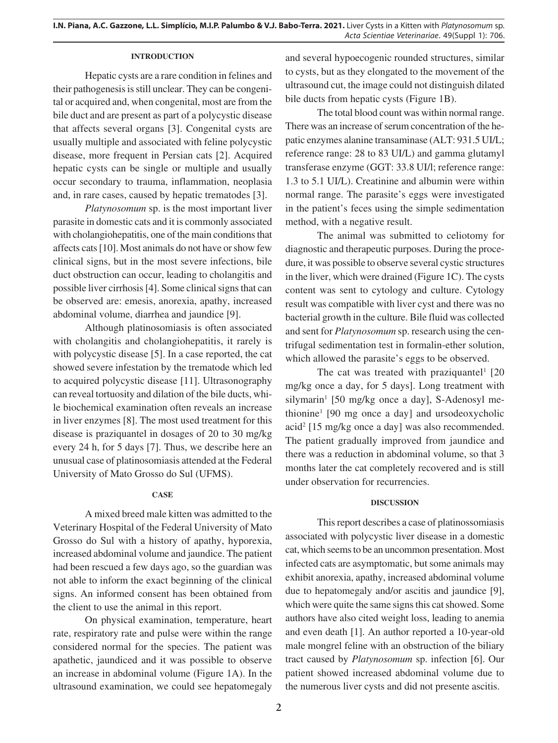#### **INTRODUCTION**

Hepatic cysts are a rare condition in felines and their pathogenesis is still unclear. They can be congenital or acquired and, when congenital, most are from the bile duct and are present as part of a polycystic disease that affects several organs [3]. Congenital cysts are usually multiple and associated with feline polycystic disease, more frequent in Persian cats [2]. Acquired hepatic cysts can be single or multiple and usually occur secondary to trauma, inflammation, neoplasia and, in rare cases, caused by hepatic trematodes [3].

*Platynosomum* sp. is the most important liver parasite in domestic cats and it is commonly associated with cholangiohepatitis, one of the main conditions that affects cats [10]. Most animals do not have or show few clinical signs, but in the most severe infections, bile duct obstruction can occur, leading to cholangitis and possible liver cirrhosis [4]. Some clinical signs that can be observed are: emesis, anorexia, apathy, increased abdominal volume, diarrhea and jaundice [9].

Although platinosomiasis is often associated with cholangitis and cholangiohepatitis, it rarely is with polycystic disease [5]. In a case reported, the cat showed severe infestation by the trematode which led to acquired polycystic disease [11]. Ultrasonography can reveal tortuosity and dilation of the bile ducts, while biochemical examination often reveals an increase in liver enzymes [8]. The most used treatment for this disease is praziquantel in dosages of 20 to 30 mg/kg every 24 h, for 5 days [7]. Thus, we describe here an unusual case of platinosomiasis attended at the Federal University of Mato Grosso do Sul (UFMS).

### **CASE**

A mixed breed male kitten was admitted to the Veterinary Hospital of the Federal University of Mato Grosso do Sul with a history of apathy, hyporexia, increased abdominal volume and jaundice. The patient had been rescued a few days ago, so the guardian was not able to inform the exact beginning of the clinical signs. An informed consent has been obtained from the client to use the animal in this report.

On physical examination, temperature, heart rate, respiratory rate and pulse were within the range considered normal for the species. The patient was apathetic, jaundiced and it was possible to observe an increase in abdominal volume (Figure 1A). In the ultrasound examination, we could see hepatomegaly

and several hypoecogenic rounded structures, similar to cysts, but as they elongated to the movement of the ultrasound cut, the image could not distinguish dilated bile ducts from hepatic cysts (Figure 1B).

The total blood count was within normal range. There was an increase of serum concentration of the hepatic enzymes alanine transaminase (ALT: 931.5 UI/L; reference range: 28 to 83 UI/L) and gamma glutamyl transferase enzyme (GGT: 33.8 UI/l; reference range: 1.3 to 5.1 UI/L). Creatinine and albumin were within normal range. The parasite's eggs were investigated in the patient's feces using the simple sedimentation method, with a negative result.

The animal was submitted to celiotomy for diagnostic and therapeutic purposes. During the procedure, it was possible to observe several cystic structures in the liver, which were drained (Figure 1C). The cysts content was sent to cytology and culture. Cytology result was compatible with liver cyst and there was no bacterial growth in the culture. Bile fluid was collected and sent for *Platynosomum* sp. research using the centrifugal sedimentation test in formalin-ether solution, which allowed the parasite's eggs to be observed.

The cat was treated with praziquantel<sup>1</sup>  $[20]$ mg/kg once a day, for 5 days]. Long treatment with silymarin<sup>1</sup> [50 mg/kg once a day], S-Adenosyl methionine1 [90 mg once a day] and ursodeoxycholic acid<sup>2</sup> [15 mg/kg once a day] was also recommended. The patient gradually improved from jaundice and there was a reduction in abdominal volume, so that 3 months later the cat completely recovered and is still under observation for recurrencies.

## **DISCUSSION**

This report describes a case of platinossomiasis associated with polycystic liver disease in a domestic cat, which seems to be an uncommon presentation. Most infected cats are asymptomatic, but some animals may exhibit anorexia, apathy, increased abdominal volume due to hepatomegaly and/or ascitis and jaundice [9], which were quite the same signs this cat showed. Some authors have also cited weight loss, leading to anemia and even death [1]. An author reported a 10-year-old male mongrel feline with an obstruction of the biliary tract caused by *Platynosomum* sp. infection [6]. Our patient showed increased abdominal volume due to the numerous liver cysts and did not presente ascitis.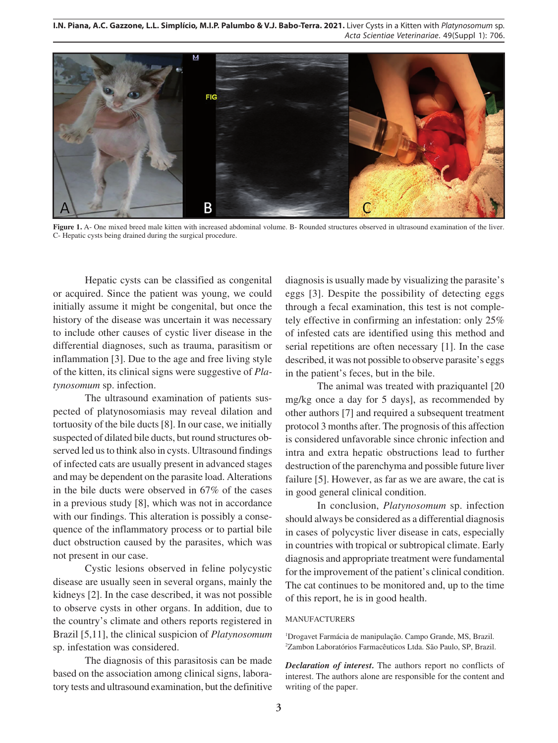**I.N. Piana, A.C. Gazzone, L.L. Simplício, M.I.P. Palumbo & V.J. Babo-Terra. 2021.** Liver Cysts in a Kitten with *Platynosomum* sp. *Acta Scientiae Veterinariae*. 49(Suppl 1): 706.



**Figure 1.** A- One mixed breed male kitten with increased abdominal volume. B- Rounded structures observed in ultrasound examination of the liver. C- Hepatic cysts being drained during the surgical procedure.

Hepatic cysts can be classified as congenital or acquired. Since the patient was young, we could initially assume it might be congenital, but once the history of the disease was uncertain it was necessary to include other causes of cystic liver disease in the differential diagnoses, such as trauma, parasitism or inflammation [3]. Due to the age and free living style of the kitten, its clinical signs were suggestive of *Platynosomum* sp. infection.

The ultrasound examination of patients suspected of platynosomiasis may reveal dilation and tortuosity of the bile ducts [8]. In our case, we initially suspected of dilated bile ducts, but round structures observed led us to think also in cysts. Ultrasound findings of infected cats are usually present in advanced stages and may be dependent on the parasite load. Alterations in the bile ducts were observed in 67% of the cases in a previous study [8], which was not in accordance with our findings. This alteration is possibly a consequence of the inflammatory process or to partial bile duct obstruction caused by the parasites, which was not present in our case.

Cystic lesions observed in feline polycystic disease are usually seen in several organs, mainly the kidneys [2]. In the case described, it was not possible to observe cysts in other organs. In addition, due to the country's climate and others reports registered in Brazil [5,11], the clinical suspicion of *Platynosomum*  sp. infestation was considered.

The diagnosis of this parasitosis can be made based on the association among clinical signs, laboratory tests and ultrasound examination, but the definitive diagnosis is usually made by visualizing the parasite's eggs [3]. Despite the possibility of detecting eggs through a fecal examination, this test is not completely effective in confirming an infestation: only 25% of infested cats are identified using this method and serial repetitions are often necessary [1]. In the case described, it was not possible to observe parasite's eggs in the patient's feces, but in the bile.

The animal was treated with praziquantel [20 mg/kg once a day for 5 days], as recommended by other authors [7] and required a subsequent treatment protocol 3 months after. The prognosis of this affection is considered unfavorable since chronic infection and intra and extra hepatic obstructions lead to further destruction of the parenchyma and possible future liver failure [5]. However, as far as we are aware, the cat is in good general clinical condition.

In conclusion, *Platynosomum* sp. infection should always be considered as a differential diagnosis in cases of polycystic liver disease in cats, especially in countries with tropical or subtropical climate. Early diagnosis and appropriate treatment were fundamental for the improvement of the patient's clinical condition. The cat continues to be monitored and, up to the time of this report, he is in good health.

#### MANUFACTURERS

1 Drogavet Farmácia de manipulação. Campo Grande, MS, Brazil. 2 Zambon Laboratórios Farmacêuticos Ltda. São Paulo, SP, Brazil.

*Declaration of interest.* The authors report no conflicts of interest. The authors alone are responsible for the content and writing of the paper.